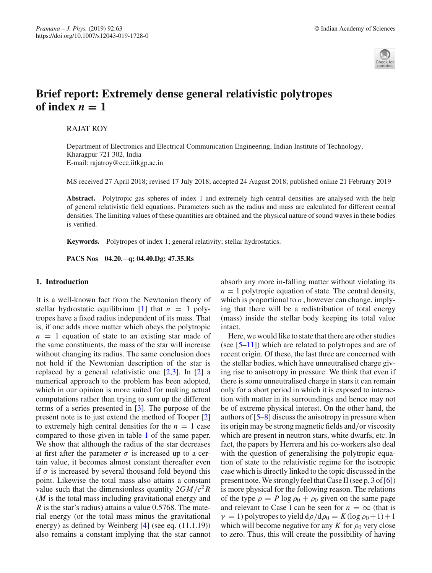

# **Brief report: Extremely dense general relativistic polytropes** of index  $n = 1$

RAJAT ROY

Department of Electronics and Electrical Communication Engineering, Indian Institute of Technology, Kharagpur 721 302, India E-mail: rajatroy@ece.iitkgp.ac.in

MS received 27 April 2018; revised 17 July 2018; accepted 24 August 2018; published online 21 February 2019

**Abstract.** Polytropic gas spheres of index 1 and extremely high central densities are analysed with the help of general relativistic field equations. Parameters such as the radius and mass are calculated for different central densities. The limiting values of these quantities are obtained and the physical nature of sound waves in these bodies is verified.

**Keywords.** Polytropes of index 1; general relativity; stellar hydrostatics.

**PACS Nos 04.20.**−**q; 04.40.Dg; 47.35.Rs**

## **1. Introduction**

It is a well-known fact from the Newtonian theory of stellar hydrostatic equilibrium [\[1\]](#page-3-0) that  $n = 1$  polytropes have a fixed radius independent of its mass. That is, if one adds more matter which obeys the polytropic  $n = 1$  equation of state to an existing star made of the same constituents, the mass of the star will increase without changing its radius. The same conclusion does not hold if the Newtonian description of the star is replaced by a general relativistic one [\[2](#page-3-1)[,3\]](#page-3-2). In [\[2](#page-3-1)] a numerical approach to the problem has been adopted, which in our opinion is more suited for making actual computations rather than trying to sum up the different terms of a series presented in [\[3\]](#page-3-2). The purpose of the present note is to just extend the method of Tooper [\[2\]](#page-3-1) to extremely high central densities for the  $n = 1$  case compared to those given in table [1](#page-2-0) of the same paper. We show that although the radius of the star decreases at first after the parameter  $\sigma$  is increased up to a certain value, it becomes almost constant thereafter even if  $\sigma$  is increased by several thousand fold beyond this point. Likewise the total mass also attains a constant value such that the dimensionless quantity  $2GM/c^2R$ (*M* is the total mass including gravitational energy and *R* is the star's radius) attains a value 0.5768. The material energy (or the total mass minus the gravitational energy) as defined by Weinberg [\[4\]](#page-3-3) (see eq. (11.1.19)) also remains a constant implying that the star cannot absorb any more in-falling matter without violating its  $n = 1$  polytropic equation of state. The central density, which is proportional to  $\sigma$ , however can change, implying that there will be a redistribution of total energy (mass) inside the stellar body keeping its total value intact.

Here, we would like to state that there are other studies (see  $[5-11]$  $[5-11]$ ) which are related to polytropes and are of recent origin. Of these, the last three are concerned with the stellar bodies, which have unneutralised charge giving rise to anisotropy in pressure. We think that even if there is some unneutralised charge in stars it can remain only for a short period in which it is exposed to interaction with matter in its surroundings and hence may not be of extreme physical interest. On the other hand, the authors of [\[5](#page-3-4)[–8](#page-3-6)] discuss the anisotropy in pressure when its origin may be strong magnetic fields and/or viscosity which are present in neutron stars, white dwarfs, etc. In fact, the papers by Herrera and his co-workers also deal with the question of generalising the polytropic equation of state to the relativistic regime for the isotropic case which is directly linked to the topic discussed in the present note. We strongly feel that Case II (see p. 3 of [\[6](#page-3-7)]) is more physical for the following reason. The relations of the type  $\rho = P \log \rho_0 + \rho_0$  given on the same page and relevant to Case I can be seen for  $n = \infty$  (that is  $\gamma = 1$ ) polytropes to yield  $d\rho/d\rho_0 = K(\log \rho_0 + 1) + 1$ which will become negative for any *K* for  $\rho_0$  very close to zero. Thus, this will create the possibility of having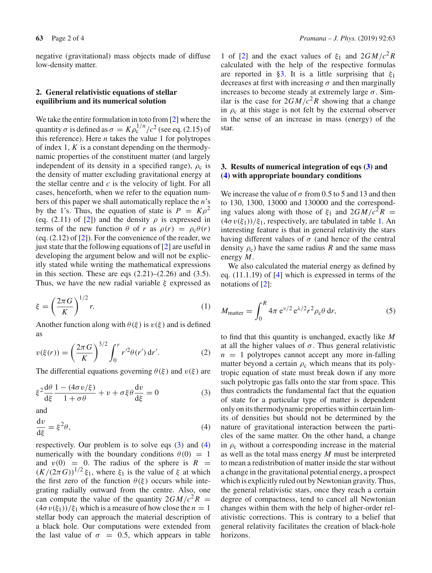negative (gravitational) mass objects made of diffuse low-density matter.

### **2. General relativistic equations of stellar equilibrium and its numerical solution**

We take the entire formulation in toto from [\[2\]](#page-3-1) where the quantity  $\sigma$  is defined as  $\sigma = K \rho_c^{1/n} / c^2$  (see eq. (2.15) of this reference). Here *n* takes the value 1 for polytropes of index 1, *K* is a constant depending on the thermodynamic properties of the constituent matter (and largely independent of its density in a specified range),  $\rho_c$  is the density of matter excluding gravitational energy at the stellar centre and *c* is the velocity of light. For all cases, henceforth, when we refer to the equation numbers of this paper we shall automatically replace the *n*'s by the 1's. Thus, the equation of state is  $P = K\rho^2$ (eq. (2.11) of [\[2\]](#page-3-1)) and the density  $\rho$  is expressed in terms of the new function  $\theta$  of *r* as  $\rho(r) = \rho_c \theta(r)$ (eq.  $(2.12)$  of  $[2]$ ). For the convenience of the reader, we just state that the following equations of [\[2](#page-3-1)] are useful in developing the argument below and will not be explicitly stated while writing the mathematical expressions in this section. These are eqs  $(2.21)$ – $(2.26)$  and  $(3.5)$ . Thus, we have the new radial variable  $\xi$  expressed as

<span id="page-1-3"></span>
$$
\xi = \left(\frac{2\pi G}{K}\right)^{1/2} r. \tag{1}
$$

Another function along with  $\theta(\xi)$  is  $v(\xi)$  and is defined as

$$
v(\xi(r)) = \left(\frac{2\pi G}{K}\right)^{3/2} \int_0^r r'^2 \theta(r') dr'. \tag{2}
$$

The differential equations governing  $\theta(\xi)$  and  $v(\xi)$  are

<span id="page-1-0"></span>
$$
\xi^2 \frac{d\theta}{d\xi} \frac{1 - (4\sigma v/\xi)}{1 + \sigma \theta} + v + \sigma \xi \theta \frac{dv}{d\xi} = 0
$$
 (3)

<span id="page-1-1"></span>and

$$
\frac{\mathrm{d}v}{\mathrm{d}\xi} = \xi^2 \theta,\tag{4}
$$

respectively. Our problem is to solve eqs  $(3)$  and  $(4)$ numerically with the boundary conditions  $\theta(0) = 1$ and  $v(0) = 0$ . The radius of the sphere is  $R =$  $(K/(2\pi G))^{1/2} \xi_1$ , where  $\xi_1$  is the value of  $\xi$  at which the first zero of the function  $\theta(\xi)$  occurs while integrating radially outward from the centre. Also, one can compute the value of the quantity  $2GM/c^2R =$  $(4\sigma v(\xi_1))/\xi_1$  which is a measure of how close the  $n=1$ stellar body can approach the material description of a black hole. Our computations were extended from the last value of  $\sigma = 0.5$ , which appears in table

1 of [\[2\]](#page-3-1) and the exact values of  $\xi_1$  and  $2GM/c^2R$ calculated with the help of the respective formulas are reported in [§3.](#page-1-2) It is a little surprising that  $\xi_1$ decreases at first with increasing  $\sigma$  and then marginally increases to become steady at extremely large  $\sigma$ . Similar is the case for  $2GM/c^2R$  showing that a change in  $\rho_c$  at this stage is not felt by the external observer in the sense of an increase in mass (energy) of the star.

## <span id="page-1-2"></span>**3. Results of numerical integration of eqs [\(3\)](#page-1-0) and [\(4\)](#page-1-1) with appropriate boundary conditions**

We increase the value of  $\sigma$  from 0.5 to 5 and 13 and then to 130, 1300, 13000 and 130000 and the corresponding values along with those of  $\xi_1$  and  $2GM/c^2R$  =  $(4\sigma v(\xi_1))/\xi_1$ , respectively, are tabulated in table [1.](#page-2-0) An interesting feature is that in general relativity the stars having different values of  $\sigma$  (and hence of the central density  $\rho_c$ ) have the same radius *R* and the same mass energy *M*.

We also calculated the material energy as defined by eq. (11.1.19) of [\[4](#page-3-3)] which is expressed in terms of the notations of [\[2\]](#page-3-1):

$$
M_{\text{matter}} = \int_0^R 4\pi \, \mathrm{e}^{\nu/2} \, \mathrm{e}^{\lambda/2} r^2 \rho_\text{c} \theta \, \mathrm{d}r,\tag{5}
$$

to find that this quantity is unchanged, exactly like *M* at all the higher values of  $\sigma$ . Thus general relativistic  $n = 1$  polytropes cannot accept any more in-falling matter beyond a certain  $\rho_c$  which means that its polytropic equation of state must break down if any more such polytropic gas falls onto the star from space. This thus contradicts the fundamental fact that the equation of state for a particular type of matter is dependent only on its thermodynamic properties within certain limits of densities but should not be determined by the nature of gravitational interaction between the particles of the same matter. On the other hand, a change in  $\rho_c$  without a corresponding increase in the material as well as the total mass energy *M* must be interpreted to mean a redistribution of matter inside the star without a change in the gravitational potential energy, a prospect which is explicitly ruled out by Newtonian gravity. Thus, the general relativistic stars, once they reach a certain degree of compactness, tend to cancel all Newtonian changes within them with the help of higher-order relativistic corrections. This is contrary to a belief that general relativity facilitates the creation of black-hole horizons.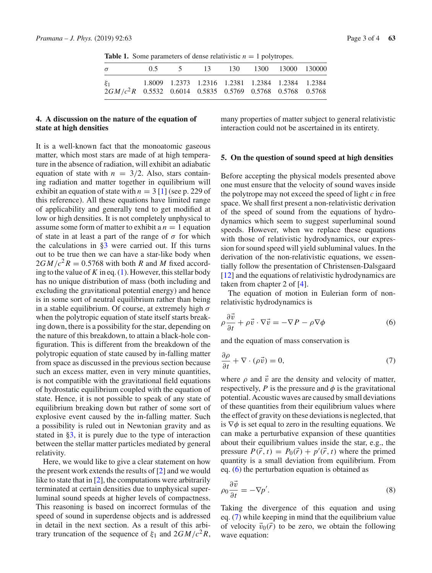<span id="page-2-0"></span>**Table 1.** Some parameters of dense relativistic  $n = 1$  polytropes.

| $\sigma$                                                    |  |  | 0.5 5 13 130 1300 13000 130000                   |  |
|-------------------------------------------------------------|--|--|--------------------------------------------------|--|
| $2GM/c^2R$ 0.5532 0.6014 0.5835 0.5769 0.5768 0.5768 0.5768 |  |  | 1.8009 1.2373 1.2316 1.2381 1.2384 1.2384 1.2384 |  |

## **4. A discussion on the nature of the equation of state at high densities**

It is a well-known fact that the monoatomic gaseous matter, which most stars are made of at high temperature in the absence of radiation, will exhibit an adiabatic equation of state with  $n = 3/2$ . Also, stars containing radiation and matter together in equilibrium will exhibit an equation of state with  $n = 3$  [\[1\]](#page-3-0) (see p. 229 of this reference). All these equations have limited range of applicability and generally tend to get modified at low or high densities. It is not completely unphysical to assume some form of matter to exhibit a  $n = 1$  equation of state in at least a part of the range of  $\sigma$  for which the calculations in [§3](#page-1-2) were carried out. If this turns out to be true then we can have a star-like body when  $2GM/c^2R = 0.5768$  with both *R* and *M* fixed according to the value of  $K$  in eq.  $(1)$ . However, this stellar body has no unique distribution of mass (both including and excluding the gravitational potential energy) and hence is in some sort of neutral equilibrium rather than being in a stable equilibrium. Of course, at extremely high  $\sigma$ when the polytropic equation of state itself starts breaking down, there is a possibility for the star, depending on the nature of this breakdown, to attain a black-hole configuration. This is different from the breakdown of the polytropic equation of state caused by in-falling matter from space as discussed in the previous section because such an excess matter, even in very minute quantities, is not compatible with the gravitational field equations of hydrostatic equilibrium coupled with the equation of state. Hence, it is not possible to speak of any state of equilibrium breaking down but rather of some sort of explosive event caused by the in-falling matter. Such a possibility is ruled out in Newtonian gravity and as stated in [§3,](#page-1-2) it is purely due to the type of interaction between the stellar matter particles mediated by general relativity.

Here, we would like to give a clear statement on how the present work extends the results of [\[2\]](#page-3-1) and we would like to state that in [\[2](#page-3-1)], the computations were arbitrarily terminated at certain densities due to unphysical superluminal sound speeds at higher levels of compactness. This reasoning is based on incorrect formulas of the speed of sound in superdense objects and is addressed in detail in the next section. As a result of this arbitrary truncation of the sequence of  $\xi_1$  and  $2GM/c^2R$ , many properties of matter subject to general relativistic interaction could not be ascertained in its entirety.

## **5. On the question of sound speed at high densities**

Before accepting the physical models presented above one must ensure that the velocity of sound waves inside the polytrope may not exceed the speed of light *c* in free space. We shall first present a non-relativistic derivation of the speed of sound from the equations of hydrodynamics which seem to suggest superluminal sound speeds. However, when we replace these equations with those of relativistic hydrodynamics, our expression for sound speed will yield subluminal values. In the derivation of the non-relativistic equations, we essentially follow the presentation of Christensen-Dalsgaard [\[12](#page-3-8)] and the equations of relativistic hydrodynamics are taken from chapter 2 of [\[4](#page-3-3)].

The equation of motion in Eulerian form of nonrelativistic hydrodynamics is

<span id="page-2-1"></span>
$$
\rho \frac{\partial \vec{v}}{\partial t} + \rho \vec{v} \cdot \nabla \vec{v} = -\nabla P - \rho \nabla \phi \tag{6}
$$

and the equation of mass conservation is

<span id="page-2-2"></span>
$$
\frac{\partial \rho}{\partial t} + \nabla \cdot (\rho \vec{v}) = 0,\tag{7}
$$

where  $\rho$  and  $\vec{v}$  are the density and velocity of matter, respectively,  $P$  is the pressure and  $\phi$  is the gravitational potential. Acoustic waves are caused by small deviations of these quantities from their equilibrium values where the effect of gravity on these deviations is neglected, that is  $\nabla \phi$  is set equal to zero in the resulting equations. We can make a perturbative expansion of these quantities about their equilibrium values inside the star, e.g., the pressure  $P(\vec{r}, t) = P_0(\vec{r}) + p'(\vec{r}, t)$  where the primed quantity is a small deviation from equilibrium. From eq. [\(6\)](#page-2-1) the perturbation equation is obtained as

$$
\rho_0 \frac{\partial \vec{v}}{\partial t} = -\nabla p'.\tag{8}
$$

<span id="page-2-3"></span>Taking the divergence of this equation and using eq. [\(7\)](#page-2-2) while keeping in mind that the equilibrium value of velocity  $\vec{v}_0(\vec{r})$  to be zero, we obtain the following wave equation: